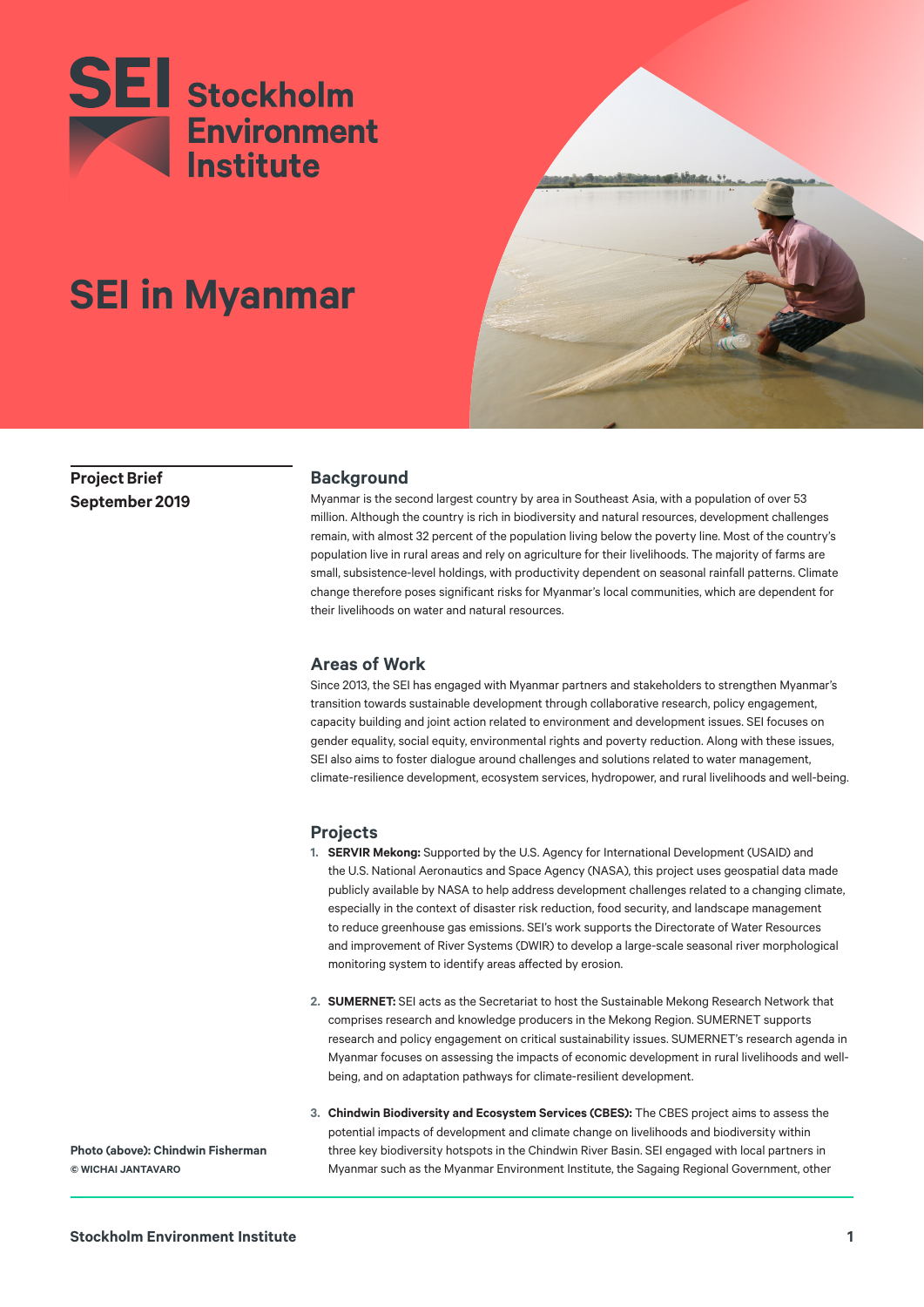



**SEI in Myanmar**

**Project Brief September 2019**

### **Background**

Myanmar is the second largest country by area in Southeast Asia, with a population of over 53 million. Although the country is rich in biodiversity and natural resources, development challenges remain, with almost 32 percent of the population living below the poverty line. Most of the country's population live in rural areas and rely on agriculture for their livelihoods. The majority of farms are small, subsistence-level holdings, with productivity dependent on seasonal rainfall patterns. Climate change therefore poses significant risks for Myanmar's local communities, which are dependent for their livelihoods on water and natural resources.

# **Areas of Work**

Since 2013, the SEI has engaged with Myanmar partners and stakeholders to strengthen Myanmar's transition towards sustainable development through collaborative research, policy engagement, capacity building and joint action related to environment and development issues. SEI focuses on gender equality, social equity, environmental rights and poverty reduction. Along with these issues, SEI also aims to foster dialogue around challenges and solutions related to water management, climate-resilience development, ecosystem services, hydropower, and rural livelihoods and well-being.

# **Projects**

- **1. SERVIR Mekong:** Supported by the U.S. Agency for International Development (USAID) and the U.S. National Aeronautics and Space Agency (NASA), this project uses geospatial data made publicly available by NASA to help address development challenges related to a changing climate, especially in the context of disaster risk reduction, food security, and landscape management to reduce greenhouse gas emissions. SEI's work supports the Directorate of Water Resources and improvement of River Systems (DWIR) to develop a large-scale seasonal river morphological monitoring system to identify areas affected by erosion.
- **2. SUMERNET:** SEI acts as the Secretariat to host the Sustainable Mekong Research Network that comprises research and knowledge producers in the Mekong Region. SUMERNET supports research and policy engagement on critical sustainability issues. SUMERNET's research agenda in Myanmar focuses on assessing the impacts of economic development in rural livelihoods and wellbeing, and on adaptation pathways for climate-resilient development.
- **3. Chindwin Biodiversity and Ecosystem Services (CBES):** The CBES project aims to assess the potential impacts of development and climate change on livelihoods and biodiversity within three key biodiversity hotspots in the Chindwin River Basin. SEI engaged with local partners in Myanmar such as the Myanmar Environment Institute, the Sagaing Regional Government, other

**Photo (above): Chindwin Fisherman © WICHAI JANTAVARO**